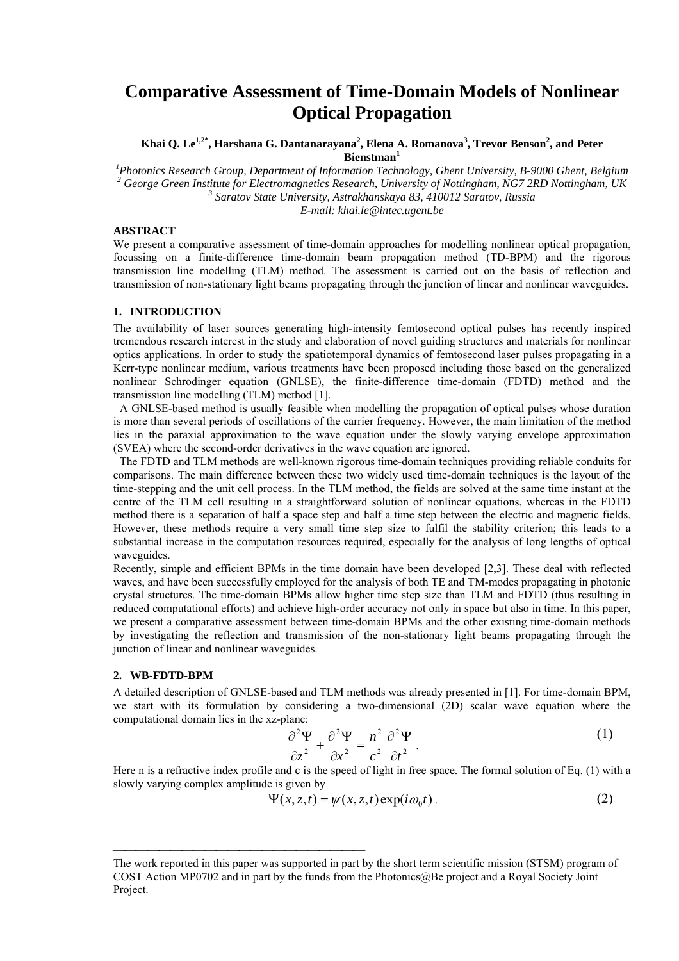# **Comparative Assessment of Time-Domain Models of Nonlinear Optical Propagation**

 $\mathbf{K}$ hai Q. Le $^{1,2^*},$  Harshana G. Dantanarayana<sup>2</sup>, Elena A. Romanova<sup>3</sup>, Trevor Benson<sup>2</sup>, and Peter **Bienstman<sup>1</sup>**

*1 Photonics Research Group, Department of Information Technology, Ghent University, B-9000 Ghent, Belgium* <sup>2</sup> George Green Institute for Electromagnetics Research, University of Nottingham, NG7 2RD Nottingham, UK<br><sup>3</sup> Sanatov State University, Astrokhanskays 82, 410012 Sanatov Pussia  *Saratov State University, Astrakhanskaya 83, 410012 Saratov, Russia E-mail: khai.le@intec.ugent.be* 

## **ABSTRACT**

We present a comparative assessment of time-domain approaches for modelling nonlinear optical propagation, focussing on a finite-difference time-domain beam propagation method (TD-BPM) and the rigorous transmission line modelling (TLM) method. The assessment is carried out on the basis of reflection and transmission of non-stationary light beams propagating through the junction of linear and nonlinear waveguides.

## **1. INTRODUCTION**

The availability of laser sources generating high-intensity femtosecond optical pulses has recently inspired tremendous research interest in the study and elaboration of novel guiding structures and materials for nonlinear optics applications. In order to study the spatiotemporal dynamics of femtosecond laser pulses propagating in a Kerr-type nonlinear medium, various treatments have been proposed including those based on the generalized nonlinear Schrodinger equation (GNLSE), the finite-difference time-domain (FDTD) method and the transmission line modelling (TLM) method [1].

A GNLSE-based method is usually feasible when modelling the propagation of optical pulses whose duration is more than several periods of oscillations of the carrier frequency. However, the main limitation of the method lies in the paraxial approximation to the wave equation under the slowly varying envelope approximation (SVEA) where the second-order derivatives in the wave equation are ignored.

The FDTD and TLM methods are well-known rigorous time-domain techniques providing reliable conduits for comparisons. The main difference between these two widely used time-domain techniques is the layout of the time-stepping and the unit cell process. In the TLM method, the fields are solved at the same time instant at the centre of the TLM cell resulting in a straightforward solution of nonlinear equations, whereas in the FDTD method there is a separation of half a space step and half a time step between the electric and magnetic fields. However, these methods require a very small time step size to fulfil the stability criterion; this leads to a substantial increase in the computation resources required, especially for the analysis of long lengths of optical waveguides.

Recently, simple and efficient BPMs in the time domain have been developed [2,3]. These deal with reflected waves, and have been successfully employed for the analysis of both TE and TM-modes propagating in photonic crystal structures. The time-domain BPMs allow higher time step size than TLM and FDTD (thus resulting in reduced computational efforts) and achieve high-order accuracy not only in space but also in time. In this paper, we present a comparative assessment between time-domain BPMs and the other existing time-domain methods by investigating the reflection and transmission of the non-stationary light beams propagating through the junction of linear and nonlinear waveguides.

### **2. WB-FDTD-BPM**

⎯⎯⎯⎯⎯⎯⎯⎯⎯⎯⎯⎯⎯⎯⎯⎯⎯⎯⎯⎯⎯⎯

A detailed description of GNLSE-based and TLM methods was already presented in [1]. For time-domain BPM, we start with its formulation by considering a two-dimensional (2D) scalar wave equation where the computational domain lies in the xz-plane:

$$
\frac{\partial^2 \Psi}{\partial z^2} + \frac{\partial^2 \Psi}{\partial x^2} = \frac{n^2}{c^2} \frac{\partial^2 \Psi}{\partial t^2}.
$$
 (1)

Here n is a refractive index profile and c is the speed of light in free space. The formal solution of Eq. (1) with a slowly varying complex amplitude is given by

$$
\Psi(x, z, t) = \psi(x, z, t) \exp(i\omega_0 t).
$$
 (2)

The work reported in this paper was supported in part by the short term scientific mission (STSM) program of COST Action MP0702 and in part by the funds from the Photonics@Be project and a Royal Society Joint Project.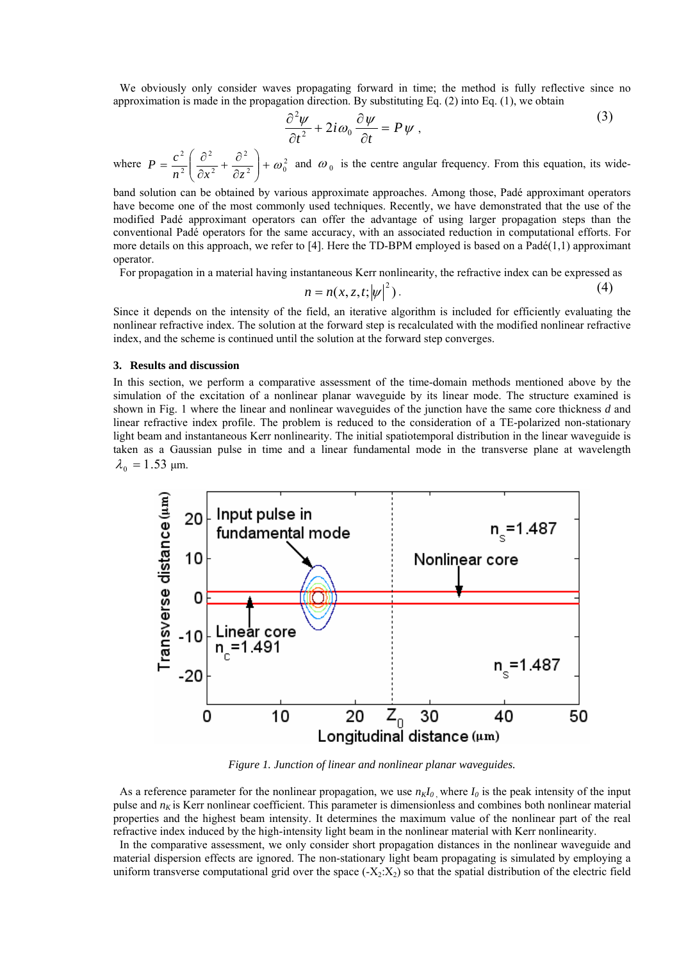We obviously only consider waves propagating forward in time; the method is fully reflective since no approximation is made in the propagation direction. By substituting Eq. (2) into Eq. (1), we obtain

$$
\frac{\partial^2 \psi}{\partial t^2} + 2i\omega_0 \frac{\partial \psi}{\partial t} = P \psi , \qquad (3)
$$

where  $P = \frac{c}{a^2} \left( \frac{U}{2a^2} + \frac{U}{2a^2} \right) + \omega_0^2$ 2 2 2 2  $\frac{2}{2} \left( \frac{\partial^2}{\partial x^2} + \frac{\partial^2}{\partial z^2} \right) + \omega$ ⎠ ⎞  $\overline{\phantom{a}}$ ⎝  $\big($ ∂  $+\frac{\partial}{\partial}$  $P = \frac{c^2}{n^2} \left( \frac{\partial^2}{\partial x^2} + \frac{\partial^2}{\partial z^2} \right) + \omega_0^2$  and  $\omega_0$  is the centre angular frequency. From this equation, its wide-

band solution can be obtained by various approximate approaches. Among those, Padé approximant operators have become one of the most commonly used techniques. Recently, we have demonstrated that the use of the modified Padé approximant operators can offer the advantage of using larger propagation steps than the conventional Padé operators for the same accuracy, with an associated reduction in computational efforts. For more details on this approach, we refer to [4]. Here the TD-BPM employed is based on a Padé(1,1) approximant operator.

For propagation in a material having instantaneous Kerr nonlinearity, the refractive index can be expressed as

$$
n = n(x, z, t; |\psi|^2). \tag{4}
$$

Since it depends on the intensity of the field, an iterative algorithm is included for efficiently evaluating the nonlinear refractive index. The solution at the forward step is recalculated with the modified nonlinear refractive index, and the scheme is continued until the solution at the forward step converges.

### **3. Results and discussion**

In this section, we perform a comparative assessment of the time-domain methods mentioned above by the simulation of the excitation of a nonlinear planar waveguide by its linear mode. The structure examined is shown in Fig. 1 where the linear and nonlinear waveguides of the junction have the same core thickness *d* and linear refractive index profile. The problem is reduced to the consideration of a TE-polarized non-stationary light beam and instantaneous Kerr nonlinearity. The initial spatiotemporal distribution in the linear waveguide is taken as a Gaussian pulse in time and a linear fundamental mode in the transverse plane at wavelength  $\lambda_0 = 1.53$  μm.



*Figure 1. Junction of linear and nonlinear planar waveguides.* 

As a reference parameter for the nonlinear propagation, we use  $n_K I_0$ , where  $I_0$  is the peak intensity of the input pulse and  $n<sub>K</sub>$  is Kerr nonlinear coefficient. This parameter is dimensionless and combines both nonlinear material properties and the highest beam intensity. It determines the maximum value of the nonlinear part of the real refractive index induced by the high-intensity light beam in the nonlinear material with Kerr nonlinearity.

In the comparative assessment, we only consider short propagation distances in the nonlinear waveguide and material dispersion effects are ignored. The non-stationary light beam propagating is simulated by employing a uniform transverse computational grid over the space  $(-X_2:X_2)$  so that the spatial distribution of the electric field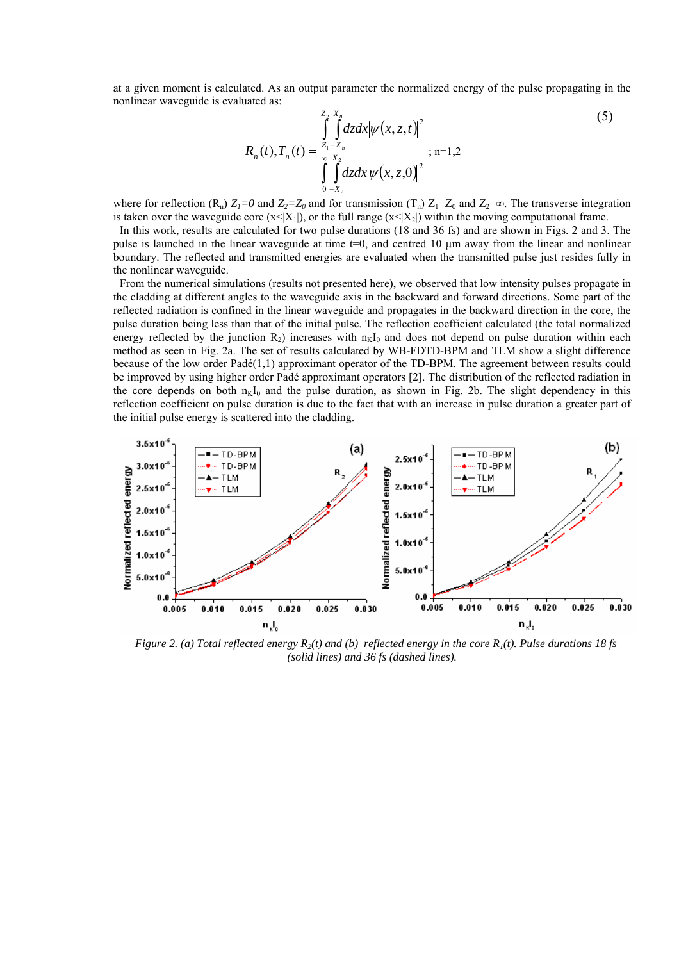at a given moment is calculated. As an output parameter the normalized energy of the pulse propagating in the nonlinear waveguide is evaluated as:

$$
R_n(t), T_n(t) = \frac{\int_{z_1 - X_n}^{z_2} dz dx |\psi(x, z, t)|^2}{\int_{0 - X_2}^{0} dz dx |\psi(x, z, 0)|^2}; n=1,2
$$
\n(5)

where for reflection  $(R_n)$   $Z_1=0$  and  $Z_2=Z_0$  and for transmission  $(T_n)$   $Z_1=Z_0$  and  $Z_2=\infty$ . The transverse integration is taken over the waveguide core  $(x<|X_1|)$ , or the full range  $(x<|X_2|)$  within the moving computational frame.

In this work, results are calculated for two pulse durations (18 and 36 fs) and are shown in Figs. 2 and 3. The pulse is launched in the linear waveguide at time  $t=0$ , and centred 10  $\mu$ m away from the linear and nonlinear boundary. The reflected and transmitted energies are evaluated when the transmitted pulse just resides fully in the nonlinear waveguide.

From the numerical simulations (results not presented here), we observed that low intensity pulses propagate in the cladding at different angles to the waveguide axis in the backward and forward directions. Some part of the reflected radiation is confined in the linear waveguide and propagates in the backward direction in the core, the pulse duration being less than that of the initial pulse. The reflection coefficient calculated (the total normalized energy reflected by the junction  $R_2$ ) increases with  $n_K I_0$  and does not depend on pulse duration within each method as seen in Fig. 2a. The set of results calculated by WB-FDTD-BPM and TLM show a slight difference because of the low order Padé(1,1) approximant operator of the TD-BPM. The agreement between results could be improved by using higher order Padé approximant operators [2]. The distribution of the reflected radiation in the core depends on both  $n_K I_0$  and the pulse duration, as shown in Fig. 2b. The slight dependency in this reflection coefficient on pulse duration is due to the fact that with an increase in pulse duration a greater part of the initial pulse energy is scattered into the cladding.



*Figure 2. (a) Total reflected energy*  $R_2(t)$  *and (b) reflected energy in the core*  $R_1(t)$ *. Pulse durations 18 fs (solid lines) and 36 fs (dashed lines).*